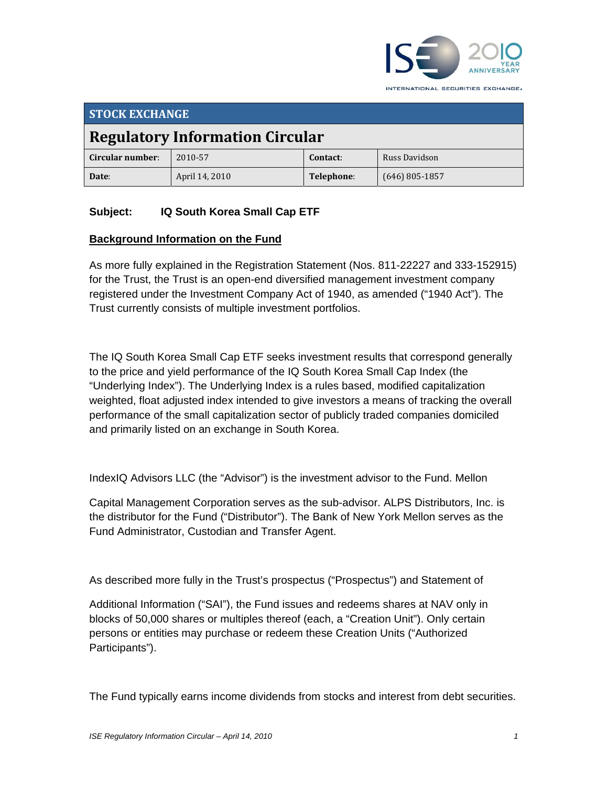

**STOCK EXCHANGE Regulatory Information Circular Circular number**: 2010‐57 **Contact**: Russ Davidson **Date**: April 14, 2010 **Telephone**: (646) 805‐1857

# **Subject: IQ South Korea Small Cap ETF**

#### **Background Information on the Fund**

As more fully explained in the Registration Statement (Nos. 811-22227 and 333-152915) for the Trust, the Trust is an open-end diversified management investment company registered under the Investment Company Act of 1940, as amended ("1940 Act"). The Trust currently consists of multiple investment portfolios.

The IQ South Korea Small Cap ETF seeks investment results that correspond generally to the price and yield performance of the IQ South Korea Small Cap Index (the "Underlying Index"). The Underlying Index is a rules based, modified capitalization weighted, float adjusted index intended to give investors a means of tracking the overall performance of the small capitalization sector of publicly traded companies domiciled and primarily listed on an exchange in South Korea.

IndexIQ Advisors LLC (the "Advisor") is the investment advisor to the Fund. Mellon

Capital Management Corporation serves as the sub-advisor. ALPS Distributors, Inc. is the distributor for the Fund ("Distributor"). The Bank of New York Mellon serves as the Fund Administrator, Custodian and Transfer Agent.

As described more fully in the Trust's prospectus ("Prospectus") and Statement of

Additional Information ("SAI"), the Fund issues and redeems shares at NAV only in blocks of 50,000 shares or multiples thereof (each, a "Creation Unit"). Only certain persons or entities may purchase or redeem these Creation Units ("Authorized Participants").

The Fund typically earns income dividends from stocks and interest from debt securities.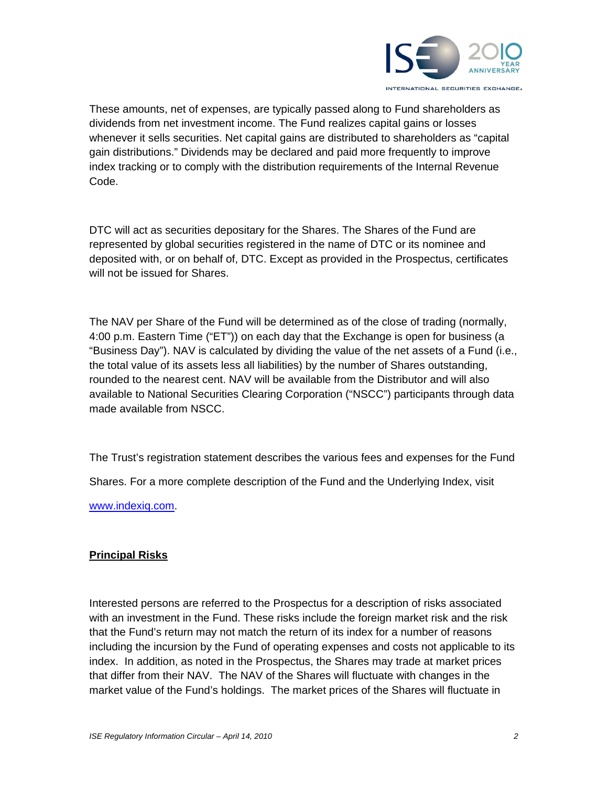

These amounts, net of expenses, are typically passed along to Fund shareholders as dividends from net investment income. The Fund realizes capital gains or losses whenever it sells securities. Net capital gains are distributed to shareholders as "capital gain distributions." Dividends may be declared and paid more frequently to improve index tracking or to comply with the distribution requirements of the Internal Revenue Code.

DTC will act as securities depositary for the Shares. The Shares of the Fund are represented by global securities registered in the name of DTC or its nominee and deposited with, or on behalf of, DTC. Except as provided in the Prospectus, certificates will not be issued for Shares.

The NAV per Share of the Fund will be determined as of the close of trading (normally, 4:00 p.m. Eastern Time ("ET")) on each day that the Exchange is open for business (a "Business Day"). NAV is calculated by dividing the value of the net assets of a Fund (i.e., the total value of its assets less all liabilities) by the number of Shares outstanding, rounded to the nearest cent. NAV will be available from the Distributor and will also available to National Securities Clearing Corporation ("NSCC") participants through data made available from NSCC.

The Trust's registration statement describes the various fees and expenses for the Fund

Shares. For a more complete description of the Fund and the Underlying Index, visit

www.indexiq.com.

# **Principal Risks**

Interested persons are referred to the Prospectus for a description of risks associated with an investment in the Fund. These risks include the foreign market risk and the risk that the Fund's return may not match the return of its index for a number of reasons including the incursion by the Fund of operating expenses and costs not applicable to its index. In addition, as noted in the Prospectus, the Shares may trade at market prices that differ from their NAV. The NAV of the Shares will fluctuate with changes in the market value of the Fund's holdings. The market prices of the Shares will fluctuate in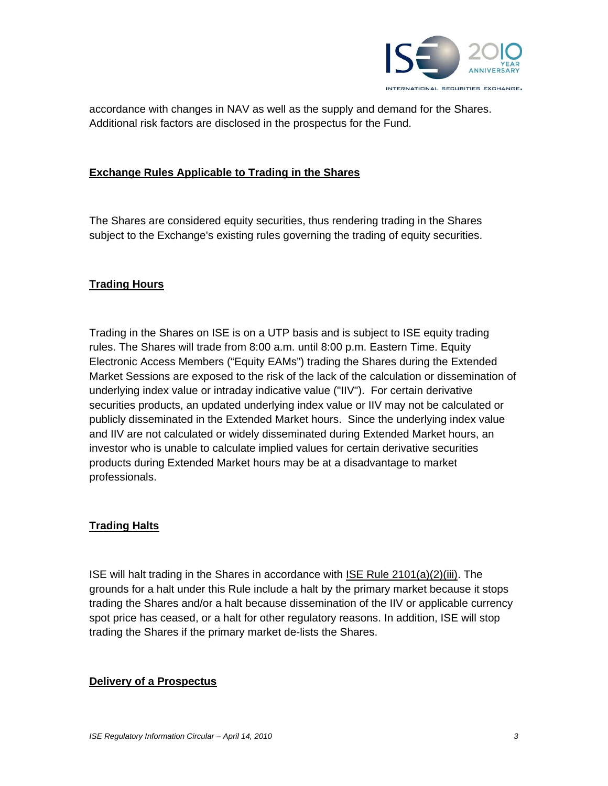

accordance with changes in NAV as well as the supply and demand for the Shares. Additional risk factors are disclosed in the prospectus for the Fund.

#### **Exchange Rules Applicable to Trading in the Shares**

The Shares are considered equity securities, thus rendering trading in the Shares subject to the Exchange's existing rules governing the trading of equity securities.

#### **Trading Hours**

Trading in the Shares on ISE is on a UTP basis and is subject to ISE equity trading rules. The Shares will trade from 8:00 a.m. until 8:00 p.m. Eastern Time. Equity Electronic Access Members ("Equity EAMs") trading the Shares during the Extended Market Sessions are exposed to the risk of the lack of the calculation or dissemination of underlying index value or intraday indicative value ("IIV"). For certain derivative securities products, an updated underlying index value or IIV may not be calculated or publicly disseminated in the Extended Market hours. Since the underlying index value and IIV are not calculated or widely disseminated during Extended Market hours, an investor who is unable to calculate implied values for certain derivative securities products during Extended Market hours may be at a disadvantage to market professionals.

#### **Trading Halts**

ISE will halt trading in the Shares in accordance with ISE Rule 2101(a)(2)(iii). The grounds for a halt under this Rule include a halt by the primary market because it stops trading the Shares and/or a halt because dissemination of the IIV or applicable currency spot price has ceased, or a halt for other regulatory reasons. In addition, ISE will stop trading the Shares if the primary market de-lists the Shares.

#### **Delivery of a Prospectus**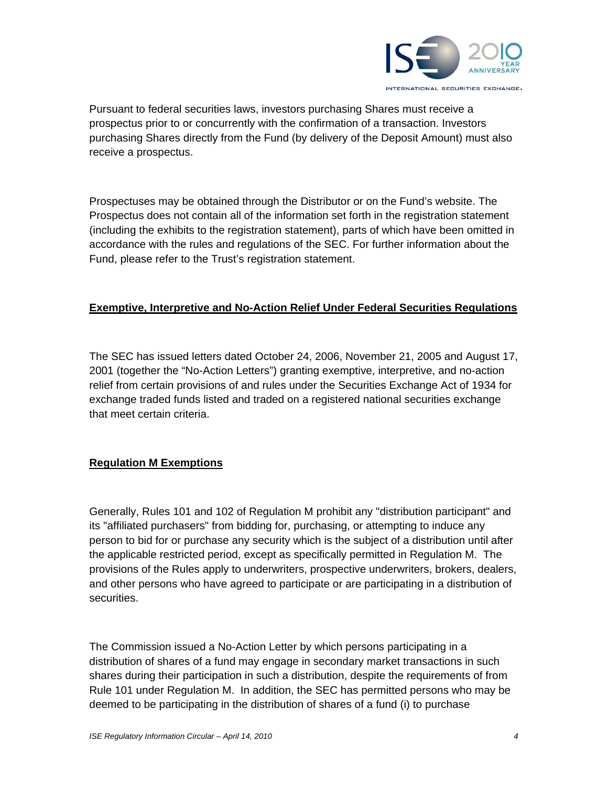

Pursuant to federal securities laws, investors purchasing Shares must receive a prospectus prior to or concurrently with the confirmation of a transaction. Investors purchasing Shares directly from the Fund (by delivery of the Deposit Amount) must also receive a prospectus.

Prospectuses may be obtained through the Distributor or on the Fund's website. The Prospectus does not contain all of the information set forth in the registration statement (including the exhibits to the registration statement), parts of which have been omitted in accordance with the rules and regulations of the SEC. For further information about the Fund, please refer to the Trust's registration statement.

# **Exemptive, Interpretive and No-Action Relief Under Federal Securities Regulations**

The SEC has issued letters dated October 24, 2006, November 21, 2005 and August 17, 2001 (together the "No-Action Letters") granting exemptive, interpretive, and no-action relief from certain provisions of and rules under the Securities Exchange Act of 1934 for exchange traded funds listed and traded on a registered national securities exchange that meet certain criteria.

# **Regulation M Exemptions**

Generally, Rules 101 and 102 of Regulation M prohibit any "distribution participant" and its "affiliated purchasers" from bidding for, purchasing, or attempting to induce any person to bid for or purchase any security which is the subject of a distribution until after the applicable restricted period, except as specifically permitted in Regulation M. The provisions of the Rules apply to underwriters, prospective underwriters, brokers, dealers, and other persons who have agreed to participate or are participating in a distribution of securities.

The Commission issued a No-Action Letter by which persons participating in a distribution of shares of a fund may engage in secondary market transactions in such shares during their participation in such a distribution, despite the requirements of from Rule 101 under Regulation M. In addition, the SEC has permitted persons who may be deemed to be participating in the distribution of shares of a fund (i) to purchase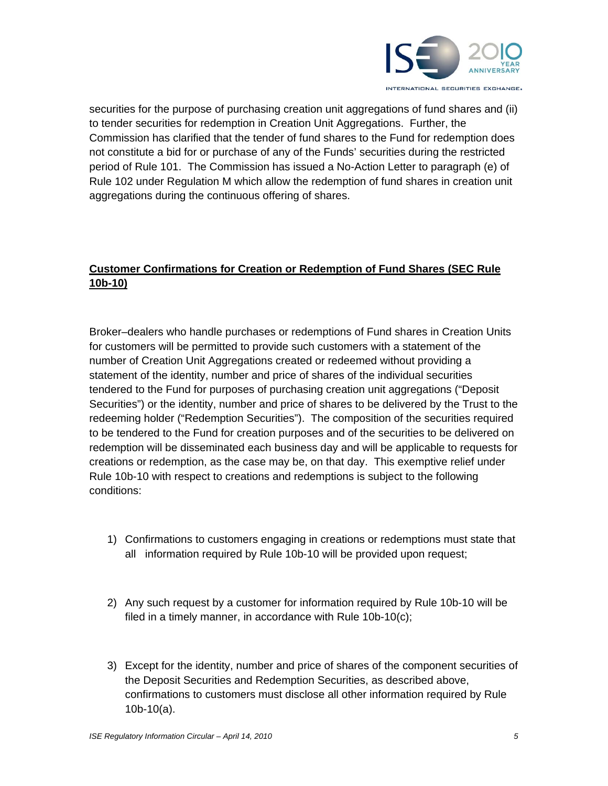

securities for the purpose of purchasing creation unit aggregations of fund shares and (ii) to tender securities for redemption in Creation Unit Aggregations. Further, the Commission has clarified that the tender of fund shares to the Fund for redemption does not constitute a bid for or purchase of any of the Funds' securities during the restricted period of Rule 101. The Commission has issued a No-Action Letter to paragraph (e) of Rule 102 under Regulation M which allow the redemption of fund shares in creation unit aggregations during the continuous offering of shares.

# **Customer Confirmations for Creation or Redemption of Fund Shares (SEC Rule 10b-10)**

Broker–dealers who handle purchases or redemptions of Fund shares in Creation Units for customers will be permitted to provide such customers with a statement of the number of Creation Unit Aggregations created or redeemed without providing a statement of the identity, number and price of shares of the individual securities tendered to the Fund for purposes of purchasing creation unit aggregations ("Deposit Securities") or the identity, number and price of shares to be delivered by the Trust to the redeeming holder ("Redemption Securities"). The composition of the securities required to be tendered to the Fund for creation purposes and of the securities to be delivered on redemption will be disseminated each business day and will be applicable to requests for creations or redemption, as the case may be, on that day. This exemptive relief under Rule 10b-10 with respect to creations and redemptions is subject to the following conditions:

- 1) Confirmations to customers engaging in creations or redemptions must state that all information required by Rule 10b-10 will be provided upon request;
- 2) Any such request by a customer for information required by Rule 10b-10 will be filed in a timely manner, in accordance with Rule 10b-10(c);
- 3) Except for the identity, number and price of shares of the component securities of the Deposit Securities and Redemption Securities, as described above, confirmations to customers must disclose all other information required by Rule 10b-10(a).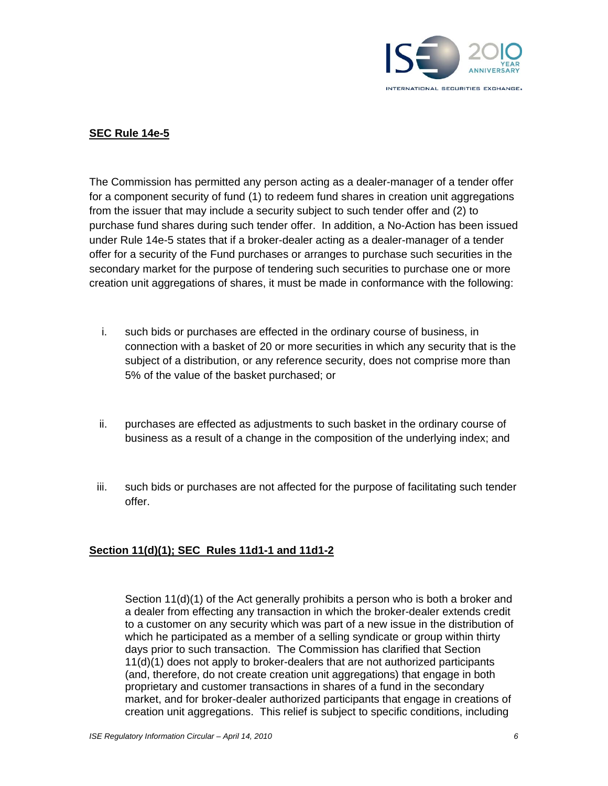

# **SEC Rule 14e-5**

The Commission has permitted any person acting as a dealer-manager of a tender offer for a component security of fund (1) to redeem fund shares in creation unit aggregations from the issuer that may include a security subject to such tender offer and (2) to purchase fund shares during such tender offer. In addition, a No-Action has been issued under Rule 14e-5 states that if a broker-dealer acting as a dealer-manager of a tender offer for a security of the Fund purchases or arranges to purchase such securities in the secondary market for the purpose of tendering such securities to purchase one or more creation unit aggregations of shares, it must be made in conformance with the following:

- i. such bids or purchases are effected in the ordinary course of business, in connection with a basket of 20 or more securities in which any security that is the subject of a distribution, or any reference security, does not comprise more than 5% of the value of the basket purchased; or
- ii. purchases are effected as adjustments to such basket in the ordinary course of business as a result of a change in the composition of the underlying index; and
- iii. such bids or purchases are not affected for the purpose of facilitating such tender offer.

#### **Section 11(d)(1); SEC Rules 11d1-1 and 11d1-2**

Section  $11(d)(1)$  of the Act generally prohibits a person who is both a broker and a dealer from effecting any transaction in which the broker-dealer extends credit to a customer on any security which was part of a new issue in the distribution of which he participated as a member of a selling syndicate or group within thirty days prior to such transaction. The Commission has clarified that Section 11(d)(1) does not apply to broker-dealers that are not authorized participants (and, therefore, do not create creation unit aggregations) that engage in both proprietary and customer transactions in shares of a fund in the secondary market, and for broker-dealer authorized participants that engage in creations of creation unit aggregations. This relief is subject to specific conditions, including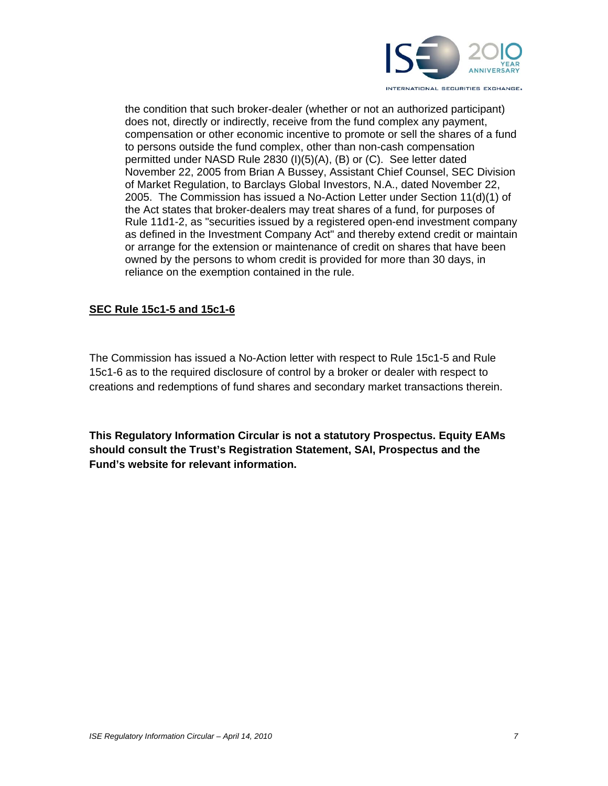

the condition that such broker-dealer (whether or not an authorized participant) does not, directly or indirectly, receive from the fund complex any payment, compensation or other economic incentive to promote or sell the shares of a fund to persons outside the fund complex, other than non-cash compensation permitted under NASD Rule 2830 (I)(5)(A), (B) or (C). See letter dated November 22, 2005 from Brian A Bussey, Assistant Chief Counsel, SEC Division of Market Regulation, to Barclays Global Investors, N.A., dated November 22, 2005. The Commission has issued a No-Action Letter under Section 11(d)(1) of the Act states that broker-dealers may treat shares of a fund, for purposes of Rule 11d1-2, as "securities issued by a registered open-end investment company as defined in the Investment Company Act" and thereby extend credit or maintain or arrange for the extension or maintenance of credit on shares that have been owned by the persons to whom credit is provided for more than 30 days, in reliance on the exemption contained in the rule.

# **SEC Rule 15c1-5 and 15c1-6**

The Commission has issued a No-Action letter with respect to Rule 15c1-5 and Rule 15c1-6 as to the required disclosure of control by a broker or dealer with respect to creations and redemptions of fund shares and secondary market transactions therein.

**This Regulatory Information Circular is not a statutory Prospectus. Equity EAMs should consult the Trust's Registration Statement, SAI, Prospectus and the Fund's website for relevant information.**